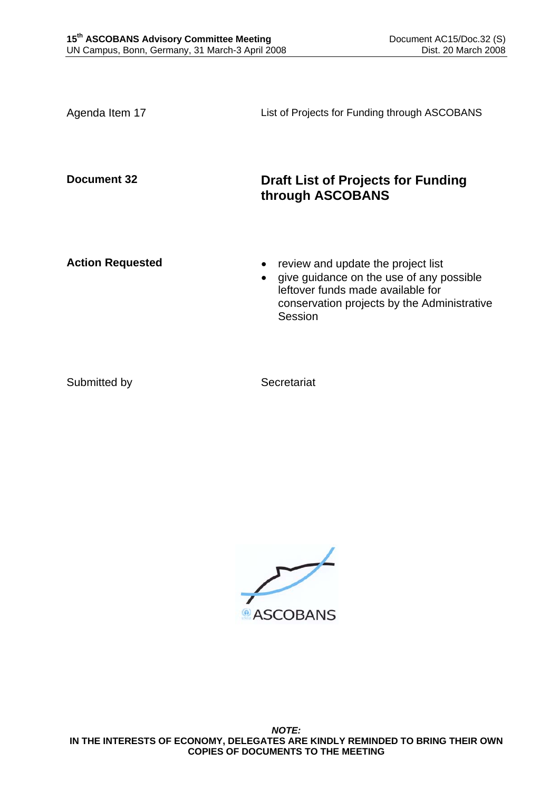| Agenda Item 17          | List of Projects for Funding through ASCOBANS                                                                                                                                              |
|-------------------------|--------------------------------------------------------------------------------------------------------------------------------------------------------------------------------------------|
| Document 32             | Draft List of Projects for Funding<br>through ASCOBANS                                                                                                                                     |
| <b>Action Requested</b> | review and update the project list<br>give guidance on the use of any possible<br>$\bullet$<br>leftover funds made available for<br>conservation projects by the Administrative<br>Session |

Submitted by Secretariat

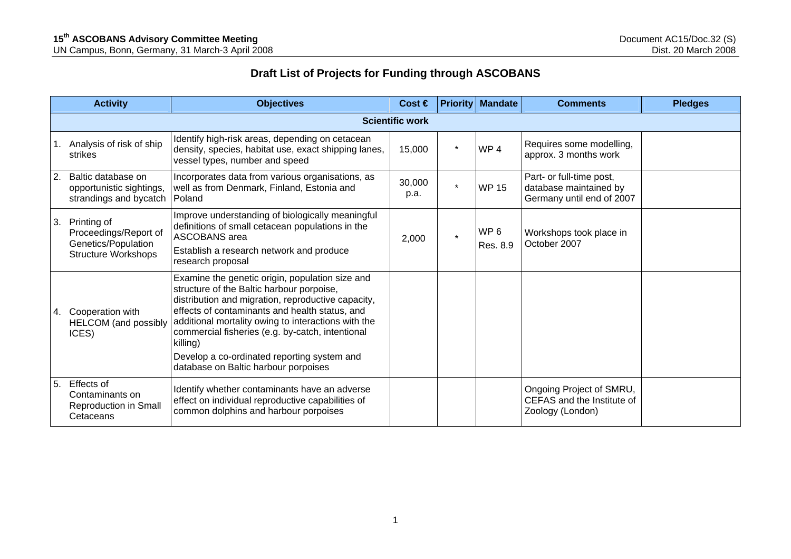## **Draft List of Projects for Funding through ASCOBANS**

|    | <b>Activity</b>                                                                           | <b>Objectives</b>                                                                                                                                                                                                                                                                                                                                                                                                  | Cost $\epsilon$ | <b>Priority</b> | <b>Mandate</b>              | <b>Comments</b>                                                                 | <b>Pledges</b> |  |
|----|-------------------------------------------------------------------------------------------|--------------------------------------------------------------------------------------------------------------------------------------------------------------------------------------------------------------------------------------------------------------------------------------------------------------------------------------------------------------------------------------------------------------------|-----------------|-----------------|-----------------------------|---------------------------------------------------------------------------------|----------------|--|
|    | <b>Scientific work</b>                                                                    |                                                                                                                                                                                                                                                                                                                                                                                                                    |                 |                 |                             |                                                                                 |                |  |
|    | Analysis of risk of ship<br>strikes                                                       | Identify high-risk areas, depending on cetacean<br>density, species, habitat use, exact shipping lanes,<br>vessel types, number and speed                                                                                                                                                                                                                                                                          | 15,000          | $\star$         | WP <sub>4</sub>             | Requires some modelling,<br>approx. 3 months work                               |                |  |
|    | Baltic database on<br>opportunistic sightings,<br>strandings and bycatch                  | Incorporates data from various organisations, as<br>well as from Denmark, Finland, Estonia and<br>Poland                                                                                                                                                                                                                                                                                                           | 30,000<br>p.a.  | $\star$         | <b>WP 15</b>                | Part- or full-time post,<br>database maintained by<br>Germany until end of 2007 |                |  |
| 3. | Printing of<br>Proceedings/Report of<br>Genetics/Population<br><b>Structure Workshops</b> | Improve understanding of biologically meaningful<br>definitions of small cetacean populations in the<br><b>ASCOBANS</b> area<br>Establish a research network and produce<br>research proposal                                                                                                                                                                                                                      | 2,000           | $\star$         | WP <sub>6</sub><br>Res. 8.9 | Workshops took place in<br>October 2007                                         |                |  |
| 4. | Cooperation with<br><b>HELCOM</b> (and possibly<br>ICES)                                  | Examine the genetic origin, population size and<br>structure of the Baltic harbour porpoise,<br>distribution and migration, reproductive capacity,<br>effects of contaminants and health status, and<br>additional mortality owing to interactions with the<br>commercial fisheries (e.g. by-catch, intentional<br>killing)<br>Develop a co-ordinated reporting system and<br>database on Baltic harbour porpoises |                 |                 |                             |                                                                                 |                |  |
| 5. | <b>Effects of</b><br>Contaminants on<br><b>Reproduction in Small</b><br>Cetaceans         | Identify whether contaminants have an adverse<br>effect on individual reproductive capabilities of<br>common dolphins and harbour porpoises                                                                                                                                                                                                                                                                        |                 |                 |                             | Ongoing Project of SMRU,<br>CEFAS and the Institute of<br>Zoology (London)      |                |  |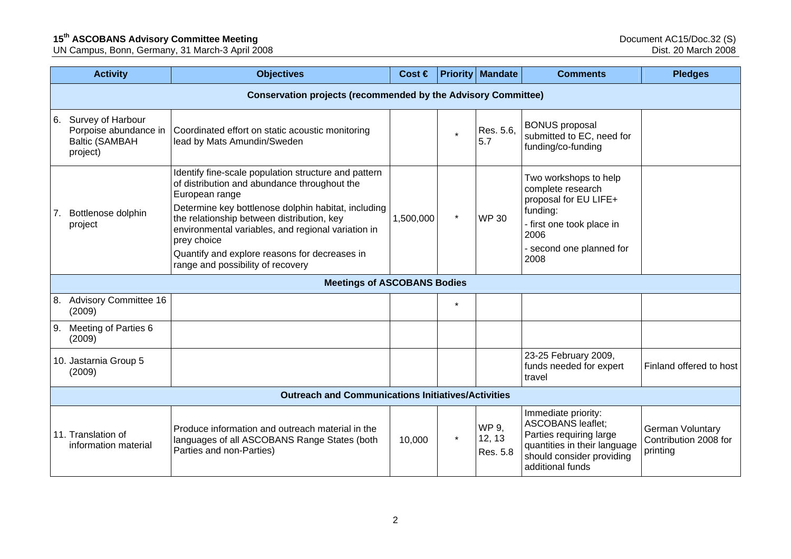## 15<sup>th</sup> ASCOBANS Advisory Committee Meeting **Document AC15/Doc.32 (S)** Document AC15/Doc.32 (S)

UN Campus, Bonn, Germany, 31 March-3 April 2008 Dist. 20 March 2008

|                                                           | <b>Activity</b>                                                                    | <b>Objectives</b>                                                                                                                                                                                                                                                                                                                                                                      | $Cost \in$ |         | <b>Priority Mandate</b>     | <b>Comments</b>                                                                                                                                             | <b>Pledges</b>                                        |  |
|-----------------------------------------------------------|------------------------------------------------------------------------------------|----------------------------------------------------------------------------------------------------------------------------------------------------------------------------------------------------------------------------------------------------------------------------------------------------------------------------------------------------------------------------------------|------------|---------|-----------------------------|-------------------------------------------------------------------------------------------------------------------------------------------------------------|-------------------------------------------------------|--|
|                                                           | <b>Conservation projects (recommended by the Advisory Committee)</b>               |                                                                                                                                                                                                                                                                                                                                                                                        |            |         |                             |                                                                                                                                                             |                                                       |  |
|                                                           | 6. Survey of Harbour<br>Porpoise abundance in<br><b>Baltic (SAMBAH</b><br>project) | Coordinated effort on static acoustic monitoring<br>lead by Mats Amundin/Sweden                                                                                                                                                                                                                                                                                                        |            | $\star$ | Res. 5.6,<br>5.7            | <b>BONUS proposal</b><br>submitted to EC, need for<br>funding/co-funding                                                                                    |                                                       |  |
| 7.                                                        | Bottlenose dolphin<br>project                                                      | Identify fine-scale population structure and pattern<br>of distribution and abundance throughout the<br>European range<br>Determine key bottlenose dolphin habitat, including<br>the relationship between distribution, key<br>environmental variables, and regional variation in<br>prey choice<br>Quantify and explore reasons for decreases in<br>range and possibility of recovery | 1,500,000  |         | <b>WP 30</b>                | Two workshops to help<br>complete research<br>proposal for EU LIFE+<br>funding:<br>- first one took place in<br>2006<br>- second one planned for<br>2008    |                                                       |  |
|                                                           |                                                                                    | <b>Meetings of ASCOBANS Bodies</b>                                                                                                                                                                                                                                                                                                                                                     |            |         |                             |                                                                                                                                                             |                                                       |  |
|                                                           | 8. Advisory Committee 16<br>(2009)                                                 |                                                                                                                                                                                                                                                                                                                                                                                        |            | $\star$ |                             |                                                                                                                                                             |                                                       |  |
|                                                           | 9. Meeting of Parties 6<br>(2009)                                                  |                                                                                                                                                                                                                                                                                                                                                                                        |            |         |                             |                                                                                                                                                             |                                                       |  |
|                                                           | 10. Jastarnia Group 5<br>(2009)                                                    |                                                                                                                                                                                                                                                                                                                                                                                        |            |         |                             | 23-25 February 2009,<br>funds needed for expert<br>travel                                                                                                   | Finland offered to host                               |  |
| <b>Outreach and Communications Initiatives/Activities</b> |                                                                                    |                                                                                                                                                                                                                                                                                                                                                                                        |            |         |                             |                                                                                                                                                             |                                                       |  |
|                                                           | 11. Translation of<br>information material                                         | Produce information and outreach material in the<br>languages of all ASCOBANS Range States (both<br>Parties and non-Parties)                                                                                                                                                                                                                                                           | 10,000     |         | WP 9,<br>12, 13<br>Res. 5.8 | Immediate priority:<br><b>ASCOBANS leaflet:</b><br>Parties requiring large<br>quantities in their language<br>should consider providing<br>additional funds | German Voluntary<br>Contribution 2008 for<br>printing |  |